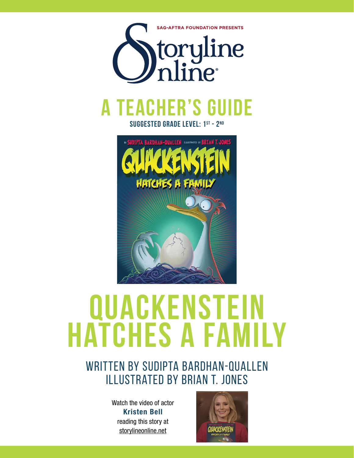

**suggested grade level: 1st - 2nd**



# **Quackenstein hatches a family**

# WRITTEN BY SUDIPTA BARDHAN-QUALLEN illustrated by brian t. jones

Watch the video of actor Kristen Bell reading this story at storylineonline.net

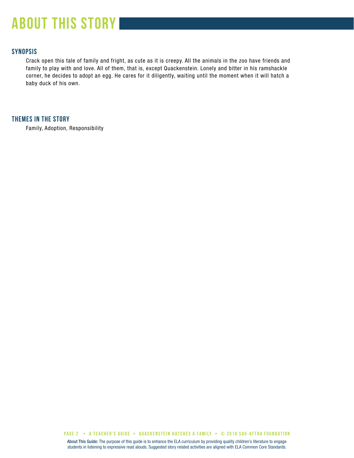# **about this story**

# **SYNOPSIS**

Crack open this tale of family and fright, as cute as it is creepy. All the animals in the zoo have friends and family to play with and love. All of them, that is, except Quackenstein. Lonely and bitter in his ramshackle corner, he decides to adopt an egg. He cares for it diligently, waiting until the moment when it will hatch a baby duck of his own.

# **THEMES IN THE STORY**

Family, Adoption, Responsibility

**PAGE 2 • A teacher's GUIDE • QUACKENSTEIN HATCHES A FAMILY • © 2018 SAG-AFTRA FOUNDATION**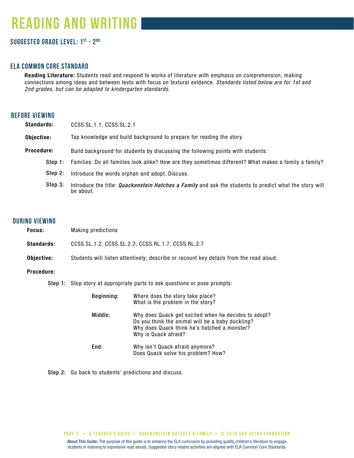# **reading and writing**

# **Suggested grade level: 1st - 2nd**

# **ela common core standard**

Reading Literature: Students read and respond to works of literature with emphasis on comprehension, making connections among ideas and between texts with focus on textural evidence. *Standards listed below are for 1st and 2nd grades, but can be adapted to kindergarten standards.*

# **before viewing**

| <b>Standards:</b> | CCSS.SL.1.1, CCSS.SL.2.1                                                                                            |  |
|-------------------|---------------------------------------------------------------------------------------------------------------------|--|
| Objective:        | Tap knowledge and build background to prepare for reading the story.                                                |  |
| Procedure:        | Build background for students by discussing the following points with students:                                     |  |
|                   | Step 1: Families: Do all families look alike? How are they sometimes different? What makes a family a family?       |  |
| Step 2:           | Introduce the words orphan and adopt. Discuss.                                                                      |  |
| Step 3:           | Introduce the title: Quackenstein Hatches a Family and ask the students to predict what the story will<br>be about. |  |

# **during viewing**

| Focus:            | <b>Making predictions</b>                                                              |                                                                                                                                                                                  |  |  |
|-------------------|----------------------------------------------------------------------------------------|----------------------------------------------------------------------------------------------------------------------------------------------------------------------------------|--|--|
| <b>Standards:</b> | CCSS.SL.1.2, CCSS.SL.2.2, CCSS.RL.1.7, CCSS.RL.2.7                                     |                                                                                                                                                                                  |  |  |
| Objective:        | Students will listen attentively; describe or recount key details from the read aloud. |                                                                                                                                                                                  |  |  |
| <b>Procedure:</b> |                                                                                        |                                                                                                                                                                                  |  |  |
|                   | <b>Step 1:</b> Stop story at appropriate parts to ask questions or pose prompts:       |                                                                                                                                                                                  |  |  |
|                   | Beginning:                                                                             | Where does the story take place?<br>What is the problem in the story?                                                                                                            |  |  |
|                   | Middle:                                                                                | Why does Quack get excited when he decides to adopt?<br>Do you think the animal will be a baby duckling?<br>Why does Quack think he's hatched a monster?<br>Why is Quack afraid? |  |  |
|                   | End:                                                                                   | Why isn't Quack afraid anymore?<br>Does Quack solve his problem? How?                                                                                                            |  |  |

Step 2: Go back to students' predictions and discuss.

About This Guide: The purpose of this guide is to enhance the ELA curriculum by providing quality children's literature to engage students in listening to expressive read alouds. Suggested story related activities are aligned with ELA Common Core Standards. **PAGE 3 • A teacher's GUIDE • QUACKENSTEIN HATCHES A FAMILY • © 2018 SAG-AFTRA FOUNDATION**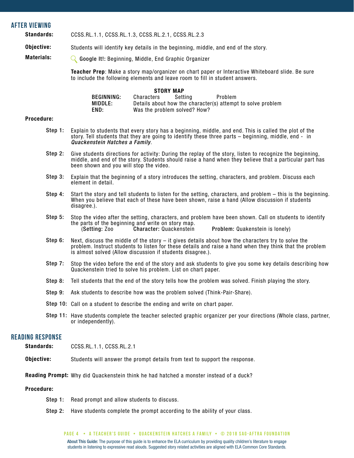### **after viewing**

Standards: CCSS.RL.1.1, CCSS.RL.1.3, CCSS.RL.2.1, CCSS.RL.2.3

Objective: Students will identify key details in the beginning, middle, and end of the story.

Materials: Google It!: Beginning, Middle, End Graphic Organizer

> Teacher Prep: Make a story map/organizer on chart paper or Interactive Whiteboard slide. Be sure to include the following elements and leave room to fill in student answers.

|            |            | <b>STORY MAP</b>             |                                                             |  |
|------------|------------|------------------------------|-------------------------------------------------------------|--|
| BEGINNING: | Characters | Settina                      | Problem                                                     |  |
| MIDDLE:    |            |                              | Details about how the character(s) attempt to solve problem |  |
| END:       |            | Was the problem solved? How? |                                                             |  |

#### Procedure:

- Step 1: Explain to students that every story has a beginning, middle, and end. This is called the plot of the story. Tell students that they are going to identify these three parts – beginning, middle, end - in *Quackenstein Hatches a Family*.
- Step 2: Give students directions for activity: During the replay of the story, listen to recognize the beginning, middle, and end of the story. Students should raise a hand when they believe that a particular part has been shown and you will stop the video.
- Step 3: Explain that the beginning of a story introduces the setting, characters, and problem. Discuss each element in detail.
- Step 4: Start the story and tell students to listen for the setting, characters, and problem – this is the beginning. When you believe that each of these have been shown, raise a hand (Allow discussion if students disagree.).
- Step 5: Stop the video after the setting, characters, and problem have been shown. Call on students to identify the parts of the beginning and write on story map.<br>(Setting: Zoo **Character: Quackenstein**) Problem: Quakenstein is lonely)
- Step 6: Next, discuss the middle of the story – it gives details about how the characters try to solve the problem. Instruct students to listen for these details and raise a hand when they think that the problem is almost solved (Allow discussion if students disagree.).
- Step 7: Stop the video before the end of the story and ask students to give you some key details describing how Quackenstein tried to solve his problem. List on chart paper.
- Step 8: Tell students that the end of the story tells how the problem was solved. Finish playing the story.
- Step 9: Ask students to describe how was the problem solved (Think-Pair-Share).
- Step 10: Call on a student to describe the ending and write on chart paper.
- Step 11: Have students complete the teacher selected graphic organizer per your directions (Whole class, partner, or independently).

### **reading response** Standards:

| olunuuruo. | <b>UUUU.IIL.I.I, UUUU.IIL.</b> Z.I |  |  |  |
|------------|------------------------------------|--|--|--|
|            |                                    |  |  |  |
|            |                                    |  |  |  |

CCSS. RL.1.1, CCSS.RL.2.1

Objective: Students will answer the prompt details from text to support the response.

Reading Prompt: Why did Quackenstein think he had hatched a monster instead of a duck?

#### Procedure:

- Step 1: Read prompt and allow students to discuss.
- Step 2: Have students complete the prompt according to the ability of your class.

#### **PAGE 4 • A teacher's GUIDE • QUACKENSTEIN HATCHES A FAMILY • © 2018 SAG-AFTRA FOUNDATION**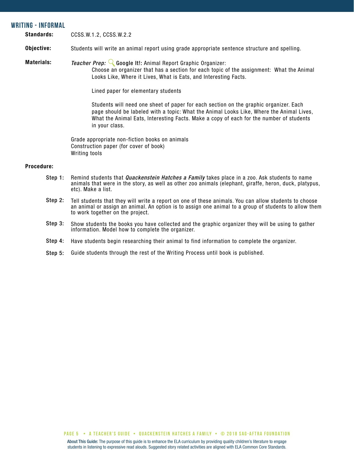### **writing - informal**

Standards: CCSS.W.1.2, CCSS.W.2.2

#### Objective: Students will write an animal report using grade appropriate sentence structure and spelling.

Materials: *Teacher Prep:* Google It!: Animal Report Graphic Organizer:

> Choose an organizer that has a section for each topic of the assignment: What the Animal Looks Like, Where it Lives, What is Eats, and Interesting Facts.

Lined paper for elementary students

Students will need one sheet of paper for each section on the graphic organizer. Each page should be labeled with a topic: What the Animal Looks Like, Where the Animal Lives, What the Animal Eats, Interesting Facts. Make a copy of each for the number of students in your class.

Grade appropriate non-fiction books on animals Construction paper (for cover of book) Writing tools

### Procedure:

- Step 1: Remind students that *Quackenstein Hatches a Family* takes place in a zoo. Ask students to name animals that were in the story, as well as other zoo animals (elephant, giraffe, heron, duck, platypus, etc). Make a list.
- Step 2: Tell students that they will write a report on one of these animals. You can allow students to choose an animal or assign an animal. An option is to assign one animal to a group of students to allow them to work together on the project.
- Step 3: Show students the books you have collected and the graphic organizer they will be using to gather information. Model how to complete the organizer.
- Step 4: Have students begin researching their animal to find information to complete the organizer.
- Step 5: Guide students through the rest of the Writing Process until book is published.

**PAGE 5 • A teacher's GUIDE • QUACKENSTEIN HATCHES A FAMILY • © 2018 SAG-AFTRA FOUNDATION**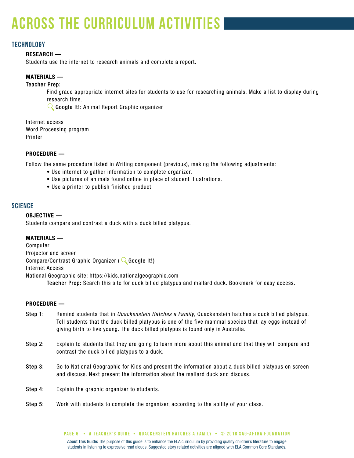# **across the curriculum activities**

# **technology**

### RESEARCH —

Students use the internet to research animals and complete a report.

# MATERIALS —

Teacher Prep:

Find grade appropriate internet sites for students to use for researching animals. Make a list to display during research time.

Google It!: Animal Report Graphic organizer

Internet access Word Processing program Printer

### PROCEDURE —

Follow the same procedure listed in Writing component (previous), making the following adjustments:

- Use internet to gather information to complete organizer.
- Use pictures of animals found online in place of student illustrations.
- Use a printer to publish finished product

# **SCIENCE**

### OBJECTIVE —

Students compare and contrast a duck with a duck billed platypus.

### MATERIALS —

Computer Projector and screen Compare/Contrast Graphic Organizer ( $\mathbb Q$  Google It!) Internet Access National Geographic site: https://kids.nationalgeographic.com Teacher Prep: Search this site for duck billed platypus and mallard duck. Bookmark for easy access.

### PROCEDURE —

- Remind students that in *Quackenstein Hatches a Family*, Quackenstein hatches a duck billed platypus. Tell students that the duck billed platypus is one of the five mammal species that lay eggs instead of giving birth to live young. The duck billed platypus is found only in Australia. Step 1:
- Explain to students that they are going to learn more about this animal and that they will compare and contrast the duck billed platypus to a duck. Step 2:
- Go to National Geographic for Kids and present the information about a duck billed platypus on screen and discuss. Next present the information about the mallard duck and discuss. Step 3:
- Explain the graphic organizer to students. Step 4:
- Work with students to complete the organizer, according to the ability of your class. Step 5: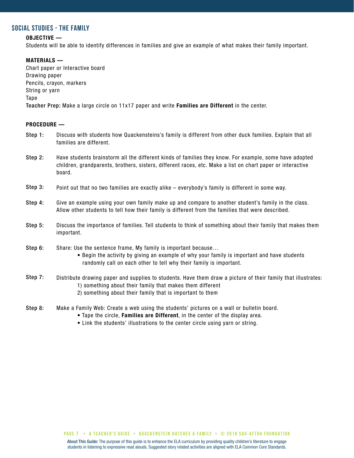# **SOCIAL STUDIES - THE FAMILY**

### OBJECTIVE —

Students will be able to identify differences in families and give an example of what makes their family important.

### MATERIALS —

Chart paper or Interactive board Drawing paper Pencils, crayon, markers String or yarn Tape Teacher Prep: Make a large circle on 11x17 paper and write Families are Different in the center.

### PROCEDURE —

- Discuss with students how Quackensteins's family is different from other duck families. Explain that all families are different. Step 1:
- Have students brainstorm all the different kinds of families they know. For example, some have adopted children, grandparents, brothers, sisters, different races, etc. Make a list on chart paper or interactive board. Step 2:
- Point out that no two families are exactly alike everybody's family is different in some way. Step 3:
- Give an example using your own family make up and compare to another student's family in the class. Allow other students to tell how their family is different from the families that were described. Step 4:
- Discuss the importance of families. Tell students to think of something about their family that makes them important. Step 5:
- Share: Use the sentence frame, My family is important because… Step 6:
	- Begin the activity by giving an example of why your family is important and have students randomly call on each other to tell why their family is important.
- Distribute drawing paper and supplies to students. Have them draw a picture of their family that illustrates: 1) something about their family that makes them different 2) something about their family that is important to them Step 7:
- Make a Family Web: Create a web using the students' pictures on a wall or bulletin board. Step 8:
	- Tape the circle, Families are Different, in the center of the display area.
	- Link the students' illustrations to the center circle using yarn or string.

**PAGE 7 • A teacher's GUIDE • QUACKENSTEIN HATCHES A FAMILY • © 2018 SAG-AFTRA FOUNDATION**